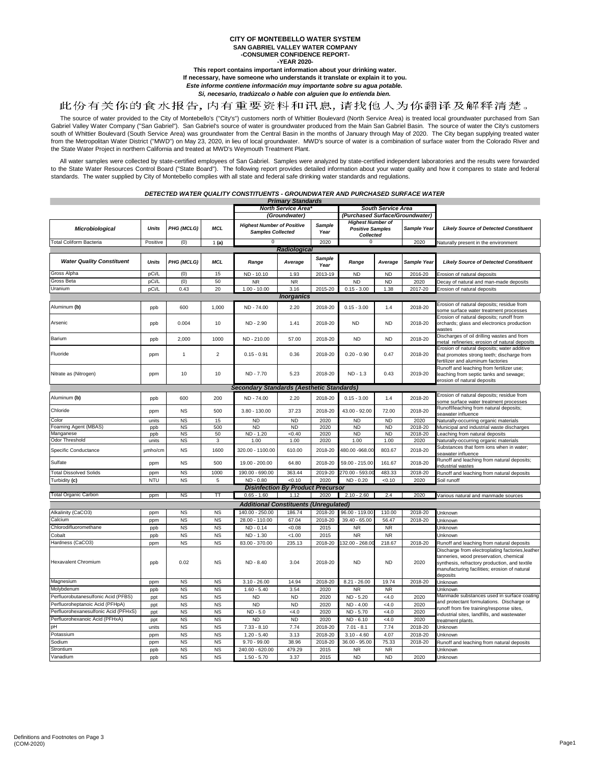### **CITY OF MONTEBELLO WATER SYSTEM SAN GABRIEL VALLEY WATER COMPANY -CONSUMER CONFIDENCE REPORT--YEAR 2020-**

**This report contains important information about your drinking water. If necessary, have someone who understands it translate or explain it to you.**

*Este informe contiene información muy importante sobre su agua potable.* 

*Si, necesario, tradúzcalo o hable con alguien que lo entienda bien.*

# 此份有关你的食水报告,内有重要资料和讯息,请找他人为你翻译及解释清楚。

The source of water provided to the City of Montebello's ("City's") customers north of Whittier Boulevard (North Service Area) is treated local groundwater purchased from San Gabriel Valley Water Company ("San Gabriel"). S south of Whittier Boulevard (South Service Area) was groundwater from the Central Basin in the months of January through May of 2020. The City began supplying treated water<br>from the Metropolitan Water District ("MWD") on M the State Water Project in northern California and treated at MWD's Weymouth Treatment Plant.

All water samples were collected by state-certified employees of San Gabriel. Samples were analyzed by state-certified independent laboratories and the results were forwarded<br>to the State Water Resources Control Board ("St standards. The water supplied by City of Montebello complies with all state and federal safe drinking water standards and regulations.

*DETECTED WATER QUALITY CONSTITUENTS - GROUNDWATER AND PURCHASED SURFACE WATER*

|                                      |              |            |                | North Service Area*                                           |           |                       | South Service Area                                               |           |             |                                                                                                                                                                                                         |  |
|--------------------------------------|--------------|------------|----------------|---------------------------------------------------------------|-----------|-----------------------|------------------------------------------------------------------|-----------|-------------|---------------------------------------------------------------------------------------------------------------------------------------------------------------------------------------------------------|--|
|                                      |              |            |                | (Groundwater)<br>(Purchased Surface/Groundwater)              |           |                       |                                                                  |           |             |                                                                                                                                                                                                         |  |
| Microbiological                      | <b>Units</b> | PHG (MCLG) | <b>MCL</b>     | <b>Highest Number of Positive</b><br><b>Samples Collected</b> |           | Sample<br>Year        | <b>Highest Number of</b><br><b>Positive Samples</b><br>Collected |           | Sample Year | <b>Likely Source of Detected Constituent</b>                                                                                                                                                            |  |
| <b>Total Coliform Bacteria</b>       | Positive     | (0)        | 1(a)           | 0                                                             |           | 2020                  | $\Omega$                                                         |           | 2020        | Vaturally present in the environment                                                                                                                                                                    |  |
| Radiological                         |              |            |                |                                                               |           |                       |                                                                  |           |             |                                                                                                                                                                                                         |  |
| <b>Water Quality Constituent</b>     | <b>Units</b> | PHG (MCLG) | <b>MCL</b>     | Range                                                         | Average   | <b>Sample</b><br>Year | Range                                                            | Average   | Sample Year | <b>Likely Source of Detected Constituent</b>                                                                                                                                                            |  |
| Gross Alpha                          | pCi/L        | (0)        | 15             | ND - 10.10                                                    | 1.93      | 2013-19               | <b>ND</b>                                                        | <b>ND</b> | 2016-20     | Erosion of natural deposits                                                                                                                                                                             |  |
| Gross Beta                           | pCi/L        | (0)        | 50             | <b>NR</b>                                                     | <b>NR</b> |                       | <b>ND</b>                                                        | <b>ND</b> | 2020        | Decay of natural and man-made deposits                                                                                                                                                                  |  |
| Uranium                              | pCi/L        | 0.43       | 20             | $1.00 - 10.00$                                                | 3.16      | 2015-20               | $0.15 - 3.00$                                                    | 1.38      | 2017-20     | Erosion of natural deposits                                                                                                                                                                             |  |
| <b>Inorganics</b>                    |              |            |                |                                                               |           |                       |                                                                  |           |             |                                                                                                                                                                                                         |  |
| Aluminum (b)                         | ppb          | 600        | 1,000          | ND - 74.00                                                    | 2.20      | 2018-20               | $0.15 - 3.00$                                                    | 1.4       | 2018-20     | Erosion of natural deposits; residue from                                                                                                                                                               |  |
|                                      |              |            |                |                                                               |           |                       |                                                                  |           |             | some surface water treatment processes                                                                                                                                                                  |  |
| Arsenic                              | ppb          | 0.004      | 10             | ND - 2.90                                                     | 1.41      | 2018-20               | <b>ND</b>                                                        | <b>ND</b> | 2018-20     | Erosion of natural deposits; runoff from<br>orchards; glass and electronics production<br>wastes                                                                                                        |  |
| Barium                               | ppb          | 2,000      | 1000           | ND - 210.00                                                   | 57.00     | 2018-20               | <b>ND</b>                                                        | <b>ND</b> | 2018-20     | Discharges of oil drilling wastes and from<br>metal refineries; erosion of natural deposits                                                                                                             |  |
| Fluoride                             | ppm          | 1          | $\overline{2}$ | $0.15 - 0.91$                                                 | 0.36      | 2018-20               | $0.20 - 0.90$                                                    | 0.47      | 2018-20     | Erosion of natural deposits; water additive<br>that promotes strong teeth; discharge from<br>fertilizer and aluminum factories                                                                          |  |
| Nitrate as (Nitrogen)                | ppm          | 10         | 10             | ND - 7.70                                                     | 5.23      | 2018-20               | $ND - 1.3$                                                       | 0.43      | 2019-20     | Runoff and leaching from fertilizer use;<br>leaching from septic tanks and sewage;<br>erosion of natural deposits                                                                                       |  |
|                                      |              |            |                | Secondary Standards (Aesthetic Standards)                     |           |                       |                                                                  |           |             |                                                                                                                                                                                                         |  |
| Aluminum (b)                         | ppb          | 600        | 200            | ND - 74.00                                                    | 2.20      | 2018-20               | $0.15 - 3.00$                                                    | 1.4       | 2018-20     | Erosion of natural deposits; residue from<br>ome surface water treatment processes                                                                                                                      |  |
| Chloride                             | ppm          | <b>NS</b>  | 500            | $3.80 - 130.00$                                               | 37.23     | 2018-20               | 43.00 - 92.00                                                    | 72.00     | 2018-20     | Runoff/leaching from natural deposits;<br>eawater influence                                                                                                                                             |  |
| Color                                | units        | <b>NS</b>  | 15             | <b>ND</b>                                                     | <b>ND</b> | 2020                  | <b>ND</b>                                                        | <b>ND</b> | 2020        | <b>Vaturally-occurring organic materials</b>                                                                                                                                                            |  |
| Foaming Agent (MBAS)                 | ppb          | <b>NS</b>  | 500            | <b>ND</b>                                                     | <b>ND</b> | 2020                  | <b>ND</b>                                                        | <b>ND</b> | 2018-20     | Municipal and industrial waste discharges                                                                                                                                                               |  |
| Manganese                            | ppb          | <b>NS</b>  | 50             | ND - 1.20                                                     | < 0.40    | 2020                  | <b>ND</b>                                                        | <b>ND</b> | 2018-20     | eaching from natural deposits                                                                                                                                                                           |  |
| Odor Threshold                       | units        | <b>NS</b>  | 3              | 1.00                                                          | 1.00      | 2020                  | 1.00                                                             | 1.00      | 2020        | <b>Naturally-occurring organic materials</b>                                                                                                                                                            |  |
| Specific Conductance                 | µmho/cm      | <b>NS</b>  | 1600           | 320.00 - 1100.00                                              | 610.00    | 2018-20               | 480.00 -968.00                                                   | 803.67    | 2018-20     | Substances that form ions when in water;<br>seawater influence                                                                                                                                          |  |
| Sulfate                              | ppm          | <b>NS</b>  | 500            | 19.00 - 200.00                                                | 64.80     | 2018-20               | 59.00 - 215.00                                                   | 161.67    | 2018-20     | Runoff and leaching from natural deposits;<br>ndustrial wastes                                                                                                                                          |  |
| <b>Total Dissolved Solids</b>        | ppm          | <b>NS</b>  | 1000           | 190.00 - 690.00                                               | 363.44    | 2019-20               | 270.00 - 593.0                                                   | 483.33    | 2018-20     | Runoff and leaching from natural deposits                                                                                                                                                               |  |
| Turbidity (c)                        | <b>NTU</b>   | NS         | 5              | ND - 0.80                                                     | < 0.10    | 2020                  | ND - 0.20                                                        | <0.10     | 2020        | Soil runoff                                                                                                                                                                                             |  |
| <b>Total Organic Carbon</b>          |              |            |                | <b>Disinfection By Product Precursor</b>                      |           |                       |                                                                  |           |             |                                                                                                                                                                                                         |  |
|                                      | ppm          | <b>NS</b>  | π              | $0.65 - 1.60$                                                 | 1.12      | 2020                  | $2.10 - 2.60$                                                    | 2.4       | 2020        | Various natural and manmade sources                                                                                                                                                                     |  |
|                                      |              |            |                | <b>Additional Constituents (Unregulated)</b>                  |           |                       |                                                                  |           |             |                                                                                                                                                                                                         |  |
| Alkalinity (CaCO3)                   | ppm          | <b>NS</b>  | <b>NS</b>      | 140.00 - 250.00                                               | 186.74    | 2018-20               | 96.00 - 119.00                                                   | 110.00    | 2018-20     | Jnknown                                                                                                                                                                                                 |  |
| Calcium                              | ppm          | <b>NS</b>  | <b>NS</b>      | 28.00 - 110.00                                                | 67.04     | 2018-20               | $39.40 - 65.00$                                                  | 56.47     | 2018-20     | Jnknown                                                                                                                                                                                                 |  |
| Chlorodifluoromethane                | ppb          | <b>NS</b>  | <b>NS</b>      | ND - 0.14                                                     | <0.08     | 2015                  | <b>NR</b>                                                        | <b>NR</b> |             | Unknown                                                                                                                                                                                                 |  |
| Cobalt                               | ppb          | <b>NS</b>  | <b>NS</b>      | ND - 1.30                                                     | 1.00      | 2015                  | <b>NR</b>                                                        | <b>NR</b> |             | Unknown                                                                                                                                                                                                 |  |
| Hardness (CaCO3)                     | ppm          | <b>NS</b>  | <b>NS</b>      | 83.00 - 370.00                                                | 235.13    | 2018-20               | 32.00 - 268.0                                                    | 218.67    | 2018-20     | Runoff and leaching from natural deposits                                                                                                                                                               |  |
| <b>Hexavalent Chromium</b>           | ppb          | 0.02       | <b>NS</b>      | ND - 8.40                                                     | 3.04      | 2018-20               | <b>ND</b>                                                        | <b>ND</b> | 2020        | Discharge from electroplating factories, leather<br>tanneries, wood preservation, chemical<br>synthesis, refractory production, and textile<br>manufacturing facilities; erosion of natural<br>deposits |  |
| Magnesium                            | ppm          | <b>NS</b>  | <b>NS</b>      | $3.10 - 26.00$                                                | 14.94     | 2018-20               | $8.21 - 26.00$                                                   | 19.74     | 2018-20     | Unknown                                                                                                                                                                                                 |  |
| Molybdenum                           | ppb          | <b>NS</b>  | <b>NS</b>      | $1.60 - 5.40$                                                 | 3.54      | 2020                  | <b>NR</b>                                                        | <b>NR</b> |             | <b>Unknown</b>                                                                                                                                                                                          |  |
| Perfluorobutanesulfonic Acid (PFBS)  | ppt          | <b>NS</b>  | <b>NS</b>      | <b>ND</b>                                                     | <b>ND</b> | 2020                  | ND - 5.20                                                        | <4.0      | 2020        | Manmade substances used in surface coating                                                                                                                                                              |  |
| Perfluoroheptanoic Acid (PFHpA)      | ppt          | <b>NS</b>  | <b>NS</b>      | <b>ND</b>                                                     | <b>ND</b> | 2020                  | ND - 4.00                                                        | < 4.0     | 2020        | and protectant formulations. Discharge or<br>runoff from fire training/response sites,                                                                                                                  |  |
| Perfluorohexanesulfonic Acid (PFHxS) | ppt          | <b>NS</b>  | <b>NS</b>      | ND - 5.0                                                      | <4.0      | 2020                  | ND - 5.70                                                        | <4.0      | 2020        | industrial sites, landfills, and wastewater                                                                                                                                                             |  |
| Perfluorohexanoic Acid (PFHxA)       | ppt          | <b>NS</b>  | <b>NS</b>      | <b>ND</b>                                                     | <b>ND</b> | 2020                  | ND - 6.10                                                        | < 4.0     | 2020        | treatment plants.                                                                                                                                                                                       |  |
| nН                                   | units        | <b>NS</b>  | <b>NS</b>      | $7.33 - 8.10$                                                 | 7.74      | 2018-20               | $7.01 - 8.1$                                                     | 7.74      | 2018-20     | Unknown                                                                                                                                                                                                 |  |
| Potassium                            | ppm          | <b>NS</b>  | <b>NS</b>      | $1.20 - 5.40$                                                 | 3.13      | 2018-20               | $3.10 - 4.60$                                                    | 4.07      | 2018-20     | Jnknown                                                                                                                                                                                                 |  |
| Sodium                               | ppm          | <b>NS</b>  | <b>NS</b>      | $9.70 - 99.00$                                                | 38.96     | 2018-20               | 36.00 - 95.00                                                    | 75.33     | 2018-20     | Runoff and leaching from natural deposits                                                                                                                                                               |  |
| Strontium                            | ppb          | <b>NS</b>  | <b>NS</b>      | 240.00 - 620.00                                               | 479.29    | 2015                  | <b>NR</b>                                                        | <b>NR</b> |             | Unknown                                                                                                                                                                                                 |  |
| Vanadium                             | ppb          | <b>NS</b>  | <b>NS</b>      | $1.50 - 5.70$                                                 | 3.37      | 2015                  | <b>ND</b>                                                        | <b>ND</b> | 2020        | Unknown                                                                                                                                                                                                 |  |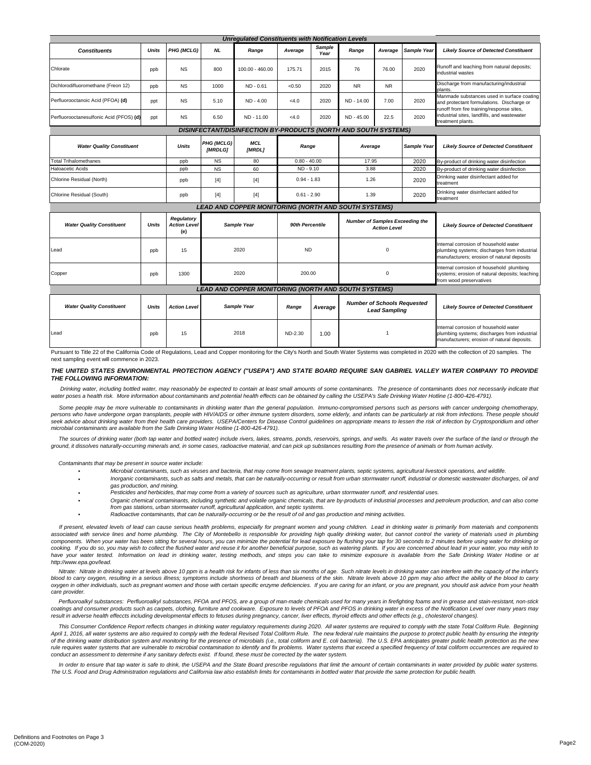| <b>Unregulated Constituents with Notification Levels</b>               |              |                                          |                       |                                                             |                 |                |                                                               |           |             |                                                                                                                                      |  |
|------------------------------------------------------------------------|--------------|------------------------------------------|-----------------------|-------------------------------------------------------------|-----------------|----------------|---------------------------------------------------------------|-----------|-------------|--------------------------------------------------------------------------------------------------------------------------------------|--|
| <b>Constituents</b>                                                    | <b>Units</b> | PHG (MCLG)                               | <b>NL</b>             | Range                                                       | Average         | Sample<br>Year | Range                                                         | Average   | Sample Year | <b>Likely Source of Detected Constituent</b>                                                                                         |  |
| Chlorate                                                               | ppb          | <b>NS</b>                                | 800                   | 100.00 - 460.00                                             | 175.71          | 2015           | 76                                                            | 76.00     | 2020        | Runoff and leaching from natural deposits;<br>industrial wastes                                                                      |  |
| Dichlorodifluoromethane (Freon 12)                                     | ppb          | <b>NS</b>                                | 1000                  | $ND - 0.61$                                                 | < 0.50          | 2020           | N <sub>R</sub>                                                | <b>NR</b> |             | Discharge from manufacturing/industrial<br>plants.                                                                                   |  |
| Perfluorooctanoic Acid (PFOA) (d)                                      | ppt          | <b>NS</b>                                | 5.10                  | $ND - 4.00$                                                 | < 4.0           | 2020           | ND - 14.00                                                    | 7.00      | 2020        | Manmade substances used in surface coating<br>and protectant formulations. Discharge or<br>runoff from fire training/response sites, |  |
| Perfluorooctanesulfonic Acid (PFOS) (d)                                | ppt          | <b>NS</b>                                | 6.50                  | ND - 11.00                                                  | < 4.0           | 2020           | ND - 45.00                                                    | 22.5      | 2020        | industrial sites, landfills, and wastewater<br>treatment plants.                                                                     |  |
| <b>DISINFECTANT/DISINFECTION BY-PRODUCTS (NORTH AND SOUTH SYSTEMS)</b> |              |                                          |                       |                                                             |                 |                |                                                               |           |             |                                                                                                                                      |  |
| <b>Water Quality Constituent</b>                                       |              | <b>Units</b>                             | PHG (MCLG)<br>[MRDLG] | <b>MCL</b><br>[MRDL]                                        | Range           |                | Average                                                       |           | Sample Year | <b>Likely Source of Detected Constituent</b>                                                                                         |  |
| <b>Total Trihalomethanes</b>                                           |              | ppb                                      | <b>NS</b>             | 80                                                          | $0.80 - 40.00$  |                | 17.95                                                         |           | 2020        | By-product of drinking water disinfection                                                                                            |  |
| Haloacetic Acids                                                       |              | ppb                                      | <b>NS</b>             | 60                                                          | ND - 9.10       |                | 3.88                                                          |           | 2020        | By-product of drinking water disinfection                                                                                            |  |
| Chlorine Residual (North)                                              |              | ppb                                      | $[4]$                 | $[4]$                                                       | $0.94 - 1.83$   |                | 1.26                                                          |           | 2020        | Drinking water disinfectant added for<br>treatment                                                                                   |  |
| Chlorine Residual (South)                                              |              | ppb                                      | $[4]$                 | $[4]$                                                       | $0.61 - 2.90$   |                | 1.39                                                          |           | 2020        | Drinking water disinfectant added for<br>treatment                                                                                   |  |
| LEAD AND COPPER MONITORING (NORTH AND SOUTH SYSTEMS)                   |              |                                          |                       |                                                             |                 |                |                                                               |           |             |                                                                                                                                      |  |
| <b>Water Quality Constituent</b>                                       | <b>Units</b> | Regulatory<br><b>Action Level</b><br>(e) | Sample Year           |                                                             | 90th Percentile |                | <b>Number of Samples Exceeding the</b><br><b>Action Level</b> |           |             | <b>Likely Source of Detected Constituent</b>                                                                                         |  |
| Lead                                                                   | ppb          | 15                                       | 2020                  |                                                             | <b>ND</b>       |                | $\mathbf 0$                                                   |           |             | Internal corrosion of household water<br>plumbing systems; discharges from industrial<br>manufacturers; erosion of natural deposits  |  |
| Copper                                                                 | ppb          | 1300                                     | 2020                  |                                                             | 200.00          |                | $\mathbf 0$                                                   |           |             | Internal corrosion of household plumbing<br>systems; erosion of natural deposits; leaching<br>from wood preservatives                |  |
|                                                                        |              |                                          |                       | <b>LEAD AND COPPER MONITORING (NORTH AND SOUTH SYSTEMS)</b> |                 |                |                                                               |           |             |                                                                                                                                      |  |
| <b>Water Quality Constituent</b>                                       | <b>Units</b> | <b>Action Level</b>                      | Sample Year           |                                                             | Range           | Average        | <b>Number of Schools Requested</b><br><b>Lead Sampling</b>    |           |             | <b>Likely Source of Detected Constituent</b>                                                                                         |  |
| Lead                                                                   | ppb          | 15                                       | 2018                  |                                                             | ND-2.30         | 1.00           | 1                                                             |           |             | Internal corrosion of household water<br>plumbing systems; discharges from industrial<br>manufacturers; erosion of natural deposits. |  |

Pursuant to Title 22 of the California Code of Regulations, Lead and Copper monitoring for the City's North and South Water Systems was completed in 2020 with the collection of 20 samples. The next sampling event will commence in 2023.

### THE UNITED STATES ENVIRONMENTAL PROTECTION AGENCY ("USEPA") AND STATE BOARD REQUIRE SAN GABRIEL VALLEY WATER COMPANY TO PROVIDE *THE FOLLOWING INFORMATION:*

Drinking water, including bottled water, may reasonably be expected to contain at least small amounts of some contaminants. The presence of contaminants does not necessarily indicate that<br>water poses a health risk. More in

Some people may be more vulnerable to contaminants in drinking water than the general population. Immuno-compromised persons such as persons with cancer undergoing chemotherapy, persons who have undergone organ transplants, people with HIV/AIDS or other immune system disorders, some elderly, and infants can be particularly at risk from infections. These people should .<br>seek advice about drinking water from their health care providers. USEPA/Centers for Disease Control guidelines on appropriate means to lessen the risk of infection by Cryptosporidium and other *microbial contaminants are available from the Safe Drinking Water Hotline (1-800-426-4791).*

The sources of drinking water (both tap water and bottled water) include rivers, lakes, streams, ponds, reservoirs, springs, and wells. As water travels over the surface of the land or through the *ground, it dissolves naturally-occurring minerals and, in some cases, radioactive material, and can pick up substances resulting from the presence of animals or from human activity.*

 *Contaminants that may be present in source water include:* 

*• • •*

- *• Microbial contaminants, such as viruses and bacteria, that may come from sewage treatment plants, septic systems, agricultural livestock operations, and wildlife.*
- *•* Inorganic contaminants, such as salts and metals, that can be naturally-occurring or result from urban stormwater runoff, industrial or domestic wastewater discharges, oil and *gas production, and mining.*
	- *Pesticides and herbicides, that may come from a variety of sources such as agriculture, urban stormwater runoff, and residential uses.*
	- Organic chemical contaminants, including synthetic and volatile organic chemicals, that are by-products of industrial processes and petroleum production, and can also come *from gas stations, urban stormwater runoff, agricultural application, and septic systems.*
- *Radioactive contaminants, that can be naturally-occurring or be the result of oil and gas production and mining activities.*

If present, elevated levels of lead can cause serious health problems, especially for pregnant women and young children. Lead in drinking water is primarily from materials and components associated with service lines and home plumbing. The City of Montebello is responsible for providing high quality drinking water, but cannot control the variety of materials used in plumbing components. When your water has been sitting for several hours, you can minimize the potential for lead exposure by flushing your tap for 30 seconds to 2 minutes before using water for drinking or cooking. If you do so, you may wish to collect the flushed water and reuse it for another beneficial purpose, such as watering plants. If you are concerned about lead in your water, you may wish to have your water tested. Information on lead in drinking water, testing methods, and steps you can take to minimize exposure is available from the Safe Drinking Water Hotline or at *http://www.epa.gov/lead.*

Nitrate: Nitrate in drinking water at levels above 10 ppm is a health risk for infants of less than six months of age. Such nitrate levels in drinking water can interfere with the capacity of the infant's blood to carry oxygen, resulting in a serious illness; symptoms include shortness of breath and blueness of the skin. Nitrate levels above 10 ppm may also affect the ability of the blood to carry oxygen in other individuals, such as pregnant women and those with certain specific enzyme deficiencies. If you are caring for an infant, or you are pregnant, you should ask advice from your health *care provider.* 

Perfluoroalkyl substances: Perfluoroalkyl substances, PFOA and PFOS, are a group of man-made chemicals used for many years in firefighting foams and in grease and stain-resistant, non-stick coatings and consumer products such as carpets, clothing, furniture and cookware. Exposure to levels of PFOA and PFOS in drinking water in excess of the Notification Level over many years may *result in adverse health effeccts including developmental effects to fetuses during pregnancy, cancer, liver effects, thyroid effects and other effects (e.g., cholesterol changes).*

This Consumer Confidence Report reflects changes in drinking water regulatory requirements during 2020. All water systems are required to comply with the state Total Coliform Rule. Beginning April 1, 2016, all water systems are also required to comply with the federal Revised Total Coliform Rule. The new federal rule maintains the purpose to protect public health by ensuring the integrity<br>of the drinking water rule requires water systems that are vulnerable to microbial contamination to identify and fix problems. Water systems that exceed a specified frequency of total coliform occurrences are required to *conduct an assessment to determine if any sanitary defects exist. If found, these must be corrected by the water system.*

In order to ensure that tap water is safe to drink, the USEPA and the State Board prescribe regulations that limit the amount of certain contaminants in water provided by public water systems. *The U.S. Food and Drug Administration regulations and California law also establish limits for contaminants in bottled water that provide the same protection for public health.*